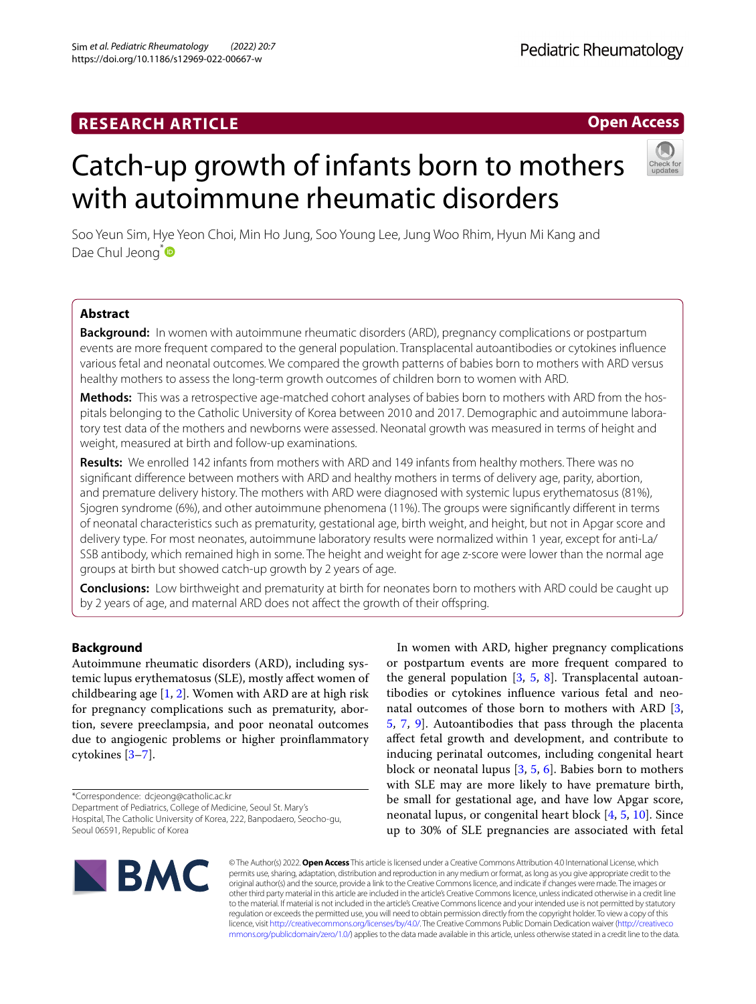# **RESEARCH ARTICLE**

# Catch-up growth of infants born to mothers with autoimmune rheumatic disorders

Soo Yeun Sim, Hye Yeon Choi, Min Ho Jung, Soo Young Lee, Jung Woo Rhim, Hyun Mi Kang and Dae Chul Jeong<sup>[\\*](http://orcid.org/0000-0003-0934-817X)</sup>

# **Abstract**

**Background:** In women with autoimmune rheumatic disorders (ARD), pregnancy complications or postpartum events are more frequent compared to the general population. Transplacental autoantibodies or cytokines infuence various fetal and neonatal outcomes. We compared the growth patterns of babies born to mothers with ARD versus healthy mothers to assess the long-term growth outcomes of children born to women with ARD.

**Methods:** This was a retrospective age-matched cohort analyses of babies born to mothers with ARD from the hospitals belonging to the Catholic University of Korea between 2010 and 2017. Demographic and autoimmune laboratory test data of the mothers and newborns were assessed. Neonatal growth was measured in terms of height and weight, measured at birth and follow-up examinations.

**Results:** We enrolled 142 infants from mothers with ARD and 149 infants from healthy mothers. There was no signifcant diference between mothers with ARD and healthy mothers in terms of delivery age, parity, abortion, and premature delivery history. The mothers with ARD were diagnosed with systemic lupus erythematosus (81%), Sjogren syndrome (6%), and other autoimmune phenomena (11%). The groups were signifcantly diferent in terms of neonatal characteristics such as prematurity, gestational age, birth weight, and height, but not in Apgar score and delivery type. For most neonates, autoimmune laboratory results were normalized within 1 year, except for anti-La/ SSB antibody, which remained high in some. The height and weight for age z-score were lower than the normal age groups at birth but showed catch-up growth by 2 years of age.

**Conclusions:** Low birthweight and prematurity at birth for neonates born to mothers with ARD could be caught up by 2 years of age, and maternal ARD does not afect the growth of their ofspring.

# **Background**

Autoimmune rheumatic disorders (ARD), including systemic lupus erythematosus (SLE), mostly afect women of childbearing age [\[1](#page-5-0), [2\]](#page-5-1). Women with ARD are at high risk for pregnancy complications such as prematurity, abortion, severe preeclampsia, and poor neonatal outcomes due to angiogenic problems or higher proinfammatory cytokines [\[3](#page-5-2)[–7\]](#page-5-3).

\*Correspondence: dcjeong@catholic.ac.kr Department of Pediatrics, College of Medicine, Seoul St. Mary's Hospital, The Catholic University of Korea, 222, Banpodaero, Seocho-gu, Seoul 06591, Republic of Korea

In women with ARD, higher pregnancy complications or postpartum events are more frequent compared to the general population  $[3, 5, 8]$  $[3, 5, 8]$  $[3, 5, 8]$  $[3, 5, 8]$  $[3, 5, 8]$  $[3, 5, 8]$ . Transplacental autoantibodies or cytokines infuence various fetal and neonatal outcomes of those born to mothers with ARD [\[3](#page-5-2), [5,](#page-5-4) [7,](#page-5-3) [9](#page-5-6)]. Autoantibodies that pass through the placenta afect fetal growth and development, and contribute to inducing perinatal outcomes, including congenital heart block or neonatal lupus [\[3](#page-5-2), [5](#page-5-4), [6](#page-5-7)]. Babies born to mothers with SLE may are more likely to have premature birth, be small for gestational age, and have low Apgar score, neonatal lupus, or congenital heart block [\[4](#page-5-8), [5,](#page-5-4) [10\]](#page-5-9). Since up to 30% of SLE pregnancies are associated with fetal



© The Author(s) 2022. **Open Access** This article is licensed under a Creative Commons Attribution 4.0 International License, which permits use, sharing, adaptation, distribution and reproduction in any medium or format, as long as you give appropriate credit to the original author(s) and the source, provide a link to the Creative Commons licence, and indicate if changes were made. The images or other third party material in this article are included in the article's Creative Commons licence, unless indicated otherwise in a credit line to the material. If material is not included in the article's Creative Commons licence and your intended use is not permitted by statutory regulation or exceeds the permitted use, you will need to obtain permission directly from the copyright holder. To view a copy of this licence, visit [http://creativecommons.org/licenses/by/4.0/.](http://creativecommons.org/licenses/by/4.0/) The Creative Commons Public Domain Dedication waiver ([http://creativeco](http://creativecommons.org/publicdomain/zero/1.0/) [mmons.org/publicdomain/zero/1.0/](http://creativecommons.org/publicdomain/zero/1.0/)) applies to the data made available in this article, unless otherwise stated in a credit line to the data.

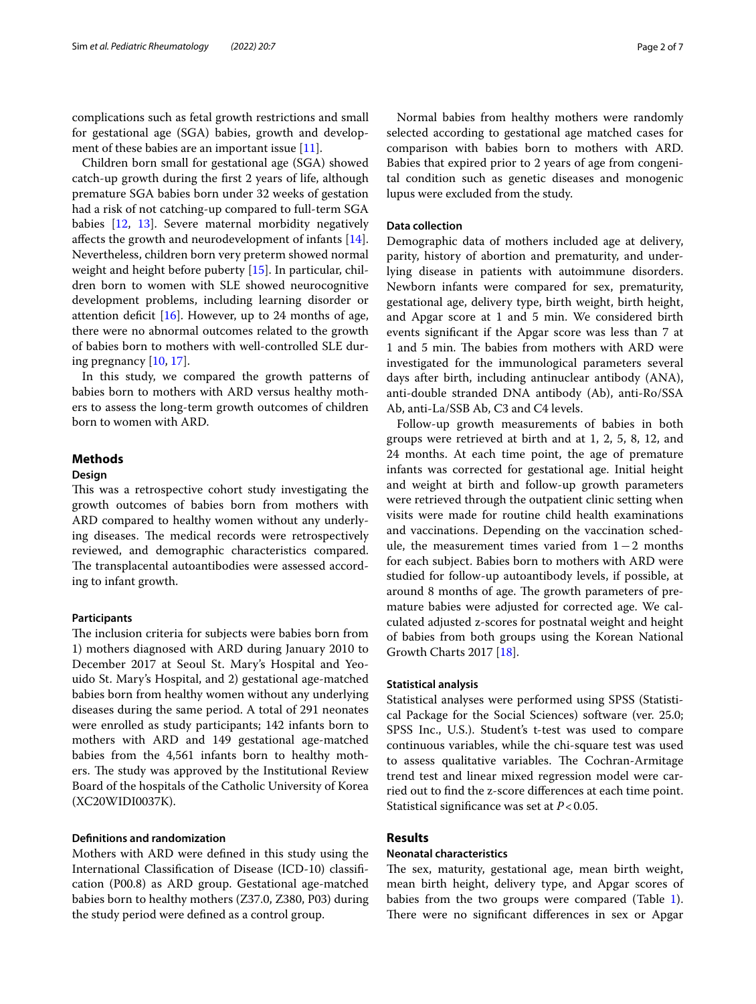complications such as fetal growth restrictions and small for gestational age (SGA) babies, growth and development of these babies are an important issue  $[11]$  $[11]$ .

Children born small for gestational age (SGA) showed catch-up growth during the frst 2 years of life, although premature SGA babies born under 32 weeks of gestation had a risk of not catching-up compared to full-term SGA babies [\[12,](#page-5-11) [13](#page-5-12)]. Severe maternal morbidity negatively afects the growth and neurodevelopment of infants [\[14](#page-5-13)]. Nevertheless, children born very preterm showed normal weight and height before puberty [[15\]](#page-5-14). In particular, children born to women with SLE showed neurocognitive development problems, including learning disorder or attention deficit  $[16]$  $[16]$ . However, up to 24 months of age, there were no abnormal outcomes related to the growth of babies born to mothers with well-controlled SLE during pregnancy [\[10,](#page-5-9) [17](#page-6-1)].

In this study, we compared the growth patterns of babies born to mothers with ARD versus healthy mothers to assess the long-term growth outcomes of children born to women with ARD.

# **Methods**

# **Design**

This was a retrospective cohort study investigating the growth outcomes of babies born from mothers with ARD compared to healthy women without any underlying diseases. The medical records were retrospectively reviewed, and demographic characteristics compared. The transplacental autoantibodies were assessed according to infant growth.

# **Participants**

The inclusion criteria for subjects were babies born from 1) mothers diagnosed with ARD during January 2010 to December 2017 at Seoul St. Mary's Hospital and Yeouido St. Mary's Hospital, and 2) gestational age-matched babies born from healthy women without any underlying diseases during the same period. A total of 291 neonates were enrolled as study participants; 142 infants born to mothers with ARD and 149 gestational age-matched babies from the 4,561 infants born to healthy mothers. The study was approved by the Institutional Review Board of the hospitals of the Catholic University of Korea (XC20WIDI0037K).

# **Defnitions and randomization**

Mothers with ARD were defned in this study using the International Classifcation of Disease (ICD-10) classifcation (P00.8) as ARD group. Gestational age-matched babies born to healthy mothers (Z37.0, Z380, P03) during the study period were defned as a control group.

Normal babies from healthy mothers were randomly selected according to gestational age matched cases for comparison with babies born to mothers with ARD. Babies that expired prior to 2 years of age from congenital condition such as genetic diseases and monogenic lupus were excluded from the study.

# **Data collection**

Demographic data of mothers included age at delivery, parity, history of abortion and prematurity, and underlying disease in patients with autoimmune disorders. Newborn infants were compared for sex, prematurity, gestational age, delivery type, birth weight, birth height, and Apgar score at 1 and 5 min. We considered birth events signifcant if the Apgar score was less than 7 at 1 and 5 min. The babies from mothers with ARD were investigated for the immunological parameters several days after birth, including antinuclear antibody (ANA), anti-double stranded DNA antibody (Ab), anti-Ro/SSA Ab, anti-La/SSB Ab, C3 and C4 levels.

Follow-up growth measurements of babies in both groups were retrieved at birth and at 1, 2, 5, 8, 12, and 24 months. At each time point, the age of premature infants was corrected for gestational age. Initial height and weight at birth and follow-up growth parameters were retrieved through the outpatient clinic setting when visits were made for routine child health examinations and vaccinations. Depending on the vaccination schedule, the measurement times varied from 1−2 months for each subject. Babies born to mothers with ARD were studied for follow-up autoantibody levels, if possible, at around 8 months of age. The growth parameters of premature babies were adjusted for corrected age. We calculated adjusted z-scores for postnatal weight and height of babies from both groups using the Korean National Growth Charts 2017 [[18\]](#page-6-2).

## **Statistical analysis**

Statistical analyses were performed using SPSS (Statistical Package for the Social Sciences) software (ver. 25.0; SPSS Inc., U.S.). Student's t-test was used to compare continuous variables, while the chi-square test was used to assess qualitative variables. The Cochran-Armitage trend test and linear mixed regression model were carried out to fnd the z-score diferences at each time point. Statistical signifcance was set at *P*<0.05.

# **Results**

# **Neonatal characteristics**

The sex, maturity, gestational age, mean birth weight, mean birth height, delivery type, and Apgar scores of babies from the two groups were compared (Table [1](#page-2-0)). There were no significant differences in sex or Apgar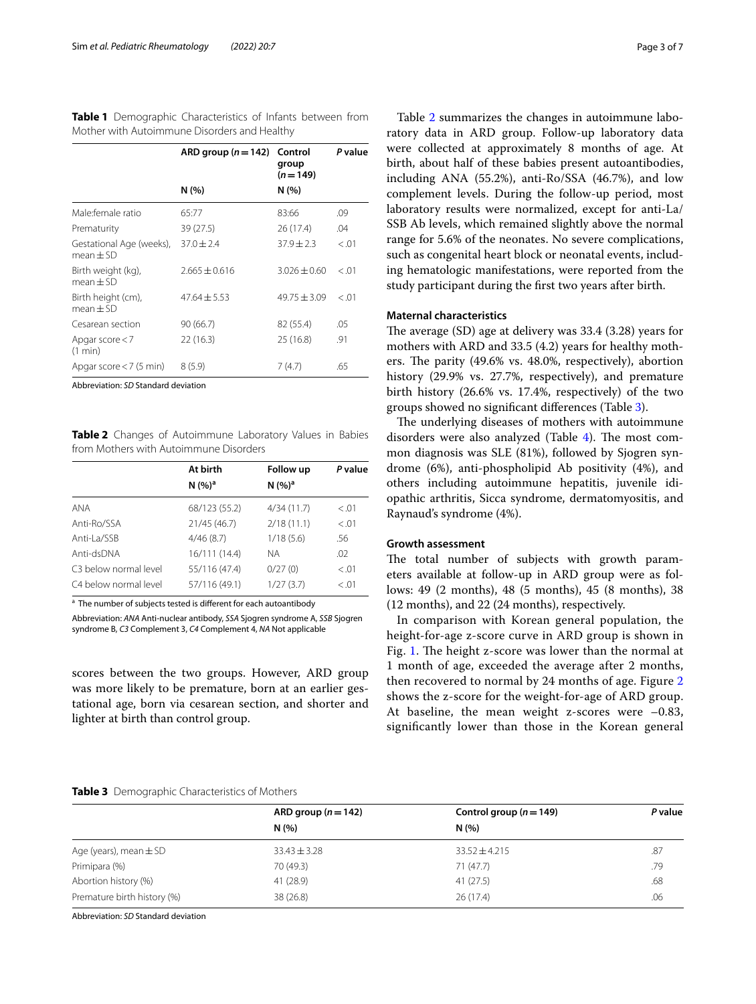<span id="page-2-0"></span>**Table 1** Demographic Characteristics of Infants between from Mother with Autoimmune Disorders and Healthy

|                                         | ARD group $(n=142)$<br>N(%) | Control<br>group<br>$(n=149)$<br>N (%) | P value |
|-----------------------------------------|-----------------------------|----------------------------------------|---------|
|                                         |                             |                                        |         |
| Male:female ratio                       | 65:77                       | 83:66                                  | .09     |
| Prematurity                             | 39 (27.5)                   | 26 (17.4)                              | .04     |
| Gestational Age (weeks),<br>$mean + SD$ | $37.0 \pm 2.4$              | $37.9 \pm 2.3$                         | < 0.01  |
| Birth weight (kg),<br>$mean + SD$       | $2.665 + 0.616$             | $3.026 + 0.60$                         | < 0.01  |
| Birth height (cm),<br>$mean + SD$       | $47.64 \pm 5.53$            | $49.75 + 3.09$                         | < 0.01  |
| Cesarean section                        | 90(66.7)                    | 82 (55.4)                              | .05     |
| Apgar score $<$ 7<br>(1 min)            | 22(16.3)                    | 25 (16.8)                              | .91     |
| Apgar score $<$ 7 (5 min)               | 8(5.9)                      | 7(4.7)                                 | .65     |
|                                         |                             |                                        |         |

Abbreviation: *SD* Standard deviation

<span id="page-2-1"></span>**Table 2** Changes of Autoimmune Laboratory Values in Babies from Mothers with Autoimmune Disorders

|                       | At birth<br>N(%) <sup>a</sup> | Follow up<br>N(%) <sup>a</sup> | P value |
|-----------------------|-------------------------------|--------------------------------|---------|
|                       |                               |                                |         |
| <b>ANA</b>            | 68/123 (55.2)                 | 4/34(11.7)                     | < 0.01  |
| Anti-Ro/SSA           | 21/45 (46.7)                  | 2/18(11.1)                     | < 0.01  |
| Anti-La/SSB           | 4/46(8.7)                     | 1/18(5.6)                      | .56     |
| Anti-dsDNA            | 16/111 (14.4)                 | NА                             | .02     |
| C3 below normal level | 55/116 (47.4)                 | 0/27(0)                        | < 0.01  |
| C4 below normal level | 57/116 (49.1)                 | 1/27(3.7)                      | < .01   |

<sup>a</sup> The number of subjects tested is different for each autoantibody

Abbreviation: *ANA* Anti-nuclear antibody, *SSA* Sjogren syndrome A, *SSB* Sjogren syndrome B, *C3* Complement 3, *C4* Complement 4, *NA* Not applicable

scores between the two groups. However, ARD group was more likely to be premature, born at an earlier gestational age, born via cesarean section, and shorter and lighter at birth than control group.

Table [2](#page-2-1) summarizes the changes in autoimmune laboratory data in ARD group. Follow-up laboratory data were collected at approximately 8 months of age. At birth, about half of these babies present autoantibodies, including ANA (55.2%), anti-Ro/SSA (46.7%), and low complement levels. During the follow-up period, most laboratory results were normalized, except for anti-La/ SSB Ab levels, which remained slightly above the normal range for 5.6% of the neonates. No severe complications, such as congenital heart block or neonatal events, including hematologic manifestations, were reported from the study participant during the frst two years after birth.

# **Maternal characteristics**

The average  $(SD)$  age at delivery was 33.4  $(3.28)$  years for mothers with ARD and 33.5 (4.2) years for healthy mothers. The parity (49.6% vs. 48.0%, respectively), abortion history (29.9% vs. 27.7%, respectively), and premature birth history (26.6% vs. 17.4%, respectively) of the two groups showed no signifcant diferences (Table [3](#page-2-2)).

The underlying diseases of mothers with autoimmune disorders were also analyzed (Table  $4$ ). The most common diagnosis was SLE (81%), followed by Sjogren syndrome (6%), anti-phospholipid Ab positivity (4%), and others including autoimmune hepatitis, juvenile idiopathic arthritis, Sicca syndrome, dermatomyositis, and Raynaud's syndrome (4%).

# **Growth assessment**

The total number of subjects with growth parameters available at follow-up in ARD group were as follows: 49 (2 months), 48 (5 months), 45 (8 months), 38 (12 months), and 22 (24 months), respectively.

In comparison with Korean general population, the height-for-age z-score curve in ARD group is shown in Fig. [1.](#page-3-1) The height z-score was lower than the normal at 1 month of age, exceeded the average after 2 months, then recovered to normal by 24 months of age. Figure [2](#page-4-0) shows the z-score for the weight-for-age of ARD group. At baseline, the mean weight z-scores were –0.83, signifcantly lower than those in the Korean general

#### <span id="page-2-2"></span>**Table 3** Demographic Characteristics of Mothers

|                             | ARD group $(n=142)$ | Control group ( $n = 149$ ) | P value |
|-----------------------------|---------------------|-----------------------------|---------|
|                             | N(% )               | N(%)                        |         |
| Age (years), mean $\pm$ SD  | $33.43 \pm 3.28$    | $33.52 \pm 4.215$           | .87     |
| Primipara (%)               | 70 (49.3)           | 71 (47.7)                   | .79     |
| Abortion history (%)        | 41 (28.9)           | 41 (27.5)                   | .68     |
| Premature birth history (%) | 38 (26.8)           | 26(17.4)                    | .06     |
|                             |                     |                             |         |

Abbreviation: *SD* Standard deviation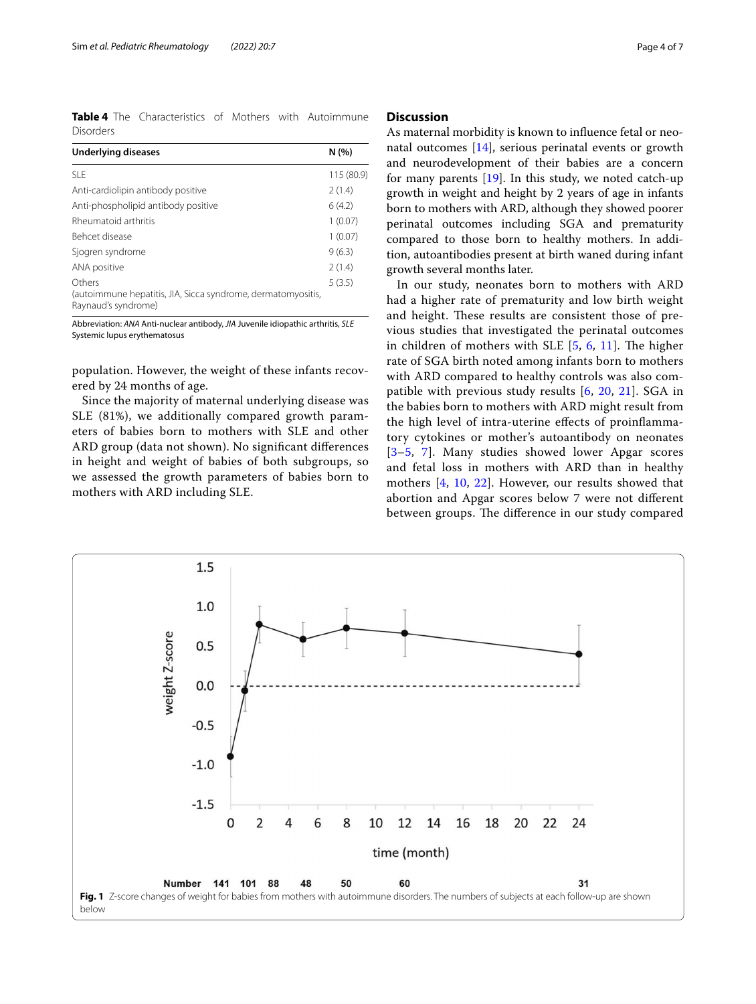<span id="page-3-0"></span>**Table 4** The Characteristics of Mothers with Autoimmune Disorders

| <b>Underlying diseases</b>                                                          | N(%        |
|-------------------------------------------------------------------------------------|------------|
| SLE.                                                                                | 115 (80.9) |
| Anti-cardiolipin antibody positive                                                  | 2(1.4)     |
| Anti-phospholipid antibody positive                                                 | 6(4.2)     |
| Rheumatoid arthritis                                                                | 1(0.07)    |
| Behcet disease                                                                      | 1(0.07)    |
| Sjogren syndrome                                                                    | 9(6.3)     |
| ANA positive                                                                        | 2(1.4)     |
| Others                                                                              | 5(3.5)     |
| (autoimmune hepatitis, JIA, Sicca syndrome, dermatomyositis,<br>Raynaud's syndrome) |            |

Abbreviation: *ANA* Anti-nuclear antibody, *JIA* Juvenile idiopathic arthritis, *SLE* Systemic lupus erythematosus

population. However, the weight of these infants recovered by 24 months of age.

Since the majority of maternal underlying disease was SLE (81%), we additionally compared growth parameters of babies born to mothers with SLE and other ARD group (data not shown). No signifcant diferences in height and weight of babies of both subgroups, so we assessed the growth parameters of babies born to mothers with ARD including SLE.

# **Discussion**

As maternal morbidity is known to infuence fetal or neonatal outcomes [\[14\]](#page-5-13), serious perinatal events or growth and neurodevelopment of their babies are a concern for many parents [\[19](#page-6-3)]. In this study, we noted catch-up growth in weight and height by 2 years of age in infants born to mothers with ARD, although they showed poorer perinatal outcomes including SGA and prematurity compared to those born to healthy mothers. In addition, autoantibodies present at birth waned during infant growth several months later.

In our study, neonates born to mothers with ARD had a higher rate of prematurity and low birth weight and height. These results are consistent those of previous studies that investigated the perinatal outcomes in children of mothers with SLE  $[5, 6, 11]$  $[5, 6, 11]$  $[5, 6, 11]$  $[5, 6, 11]$  $[5, 6, 11]$  $[5, 6, 11]$  $[5, 6, 11]$ . The higher rate of SGA birth noted among infants born to mothers with ARD compared to healthy controls was also compatible with previous study results [[6,](#page-5-7) [20,](#page-6-4) [21\]](#page-6-5). SGA in the babies born to mothers with ARD might result from the high level of intra-uterine efects of proinfammatory cytokines or mother's autoantibody on neonates [[3](#page-5-2)[–5](#page-5-4), [7](#page-5-3)]. Many studies showed lower Apgar scores and fetal loss in mothers with ARD than in healthy mothers [[4,](#page-5-8) [10,](#page-5-9) [22\]](#page-6-6). However, our results showed that abortion and Apgar scores below 7 were not diferent between groups. The difference in our study compared

<span id="page-3-1"></span>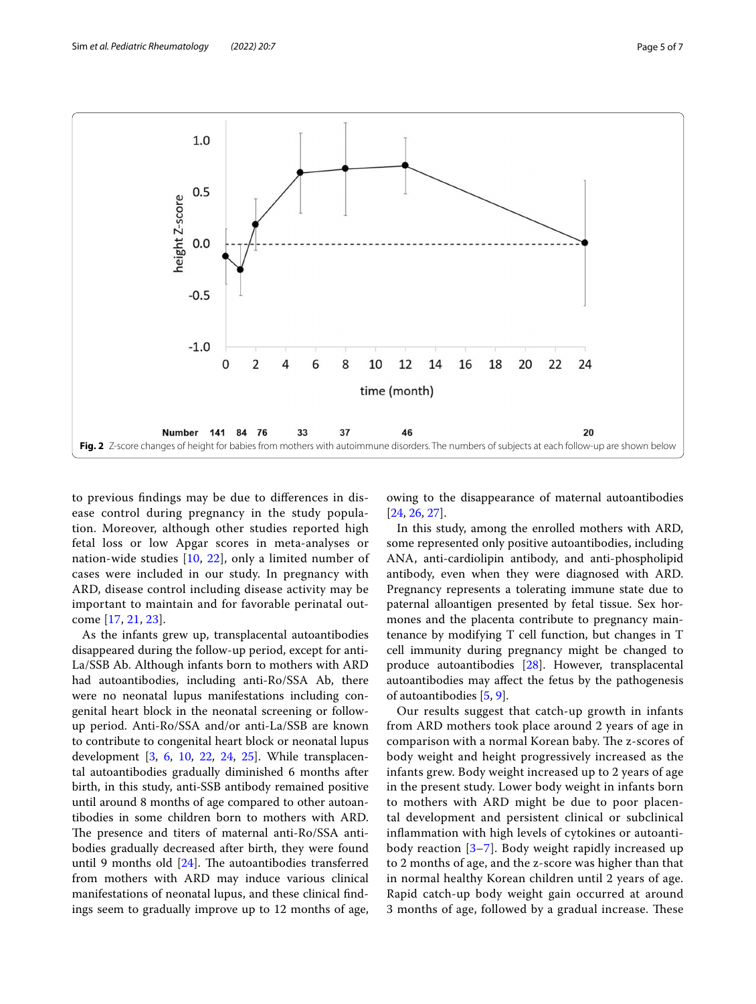

<span id="page-4-0"></span>to previous fndings may be due to diferences in disease control during pregnancy in the study population. Moreover, although other studies reported high fetal loss or low Apgar scores in meta-analyses or nation-wide studies [\[10](#page-5-9), [22](#page-6-6)], only a limited number of cases were included in our study. In pregnancy with ARD, disease control including disease activity may be important to maintain and for favorable perinatal outcome [\[17](#page-6-1), [21](#page-6-5), [23](#page-6-7)].

As the infants grew up, transplacental autoantibodies disappeared during the follow-up period, except for anti-La/SSB Ab. Although infants born to mothers with ARD had autoantibodies, including anti-Ro/SSA Ab, there were no neonatal lupus manifestations including congenital heart block in the neonatal screening or followup period. Anti-Ro/SSA and/or anti-La/SSB are known to contribute to congenital heart block or neonatal lupus development [\[3](#page-5-2), [6](#page-5-7), [10,](#page-5-9) [22](#page-6-6), [24,](#page-6-8) [25](#page-6-9)]. While transplacental autoantibodies gradually diminished 6 months after birth, in this study, anti-SSB antibody remained positive until around 8 months of age compared to other autoantibodies in some children born to mothers with ARD. The presence and titers of maternal anti-Ro/SSA antibodies gradually decreased after birth, they were found until 9 months old  $[24]$  $[24]$ . The autoantibodies transferred from mothers with ARD may induce various clinical manifestations of neonatal lupus, and these clinical fndings seem to gradually improve up to 12 months of age,

owing to the disappearance of maternal autoantibodies [[24,](#page-6-8) [26](#page-6-10), [27\]](#page-6-11).

In this study, among the enrolled mothers with ARD, some represented only positive autoantibodies, including ANA, anti-cardiolipin antibody, and anti-phospholipid antibody, even when they were diagnosed with ARD. Pregnancy represents a tolerating immune state due to paternal alloantigen presented by fetal tissue. Sex hormones and the placenta contribute to pregnancy maintenance by modifying T cell function, but changes in T cell immunity during pregnancy might be changed to produce autoantibodies [[28\]](#page-6-12). However, transplacental autoantibodies may afect the fetus by the pathogenesis of autoantibodies [\[5](#page-5-4), [9\]](#page-5-6).

Our results suggest that catch-up growth in infants from ARD mothers took place around 2 years of age in comparison with a normal Korean baby. The z-scores of body weight and height progressively increased as the infants grew. Body weight increased up to 2 years of age in the present study. Lower body weight in infants born to mothers with ARD might be due to poor placental development and persistent clinical or subclinical infammation with high levels of cytokines or autoantibody reaction [\[3](#page-5-2)[–7](#page-5-3)]. Body weight rapidly increased up to 2 months of age, and the z-score was higher than that in normal healthy Korean children until 2 years of age. Rapid catch-up body weight gain occurred at around 3 months of age, followed by a gradual increase. These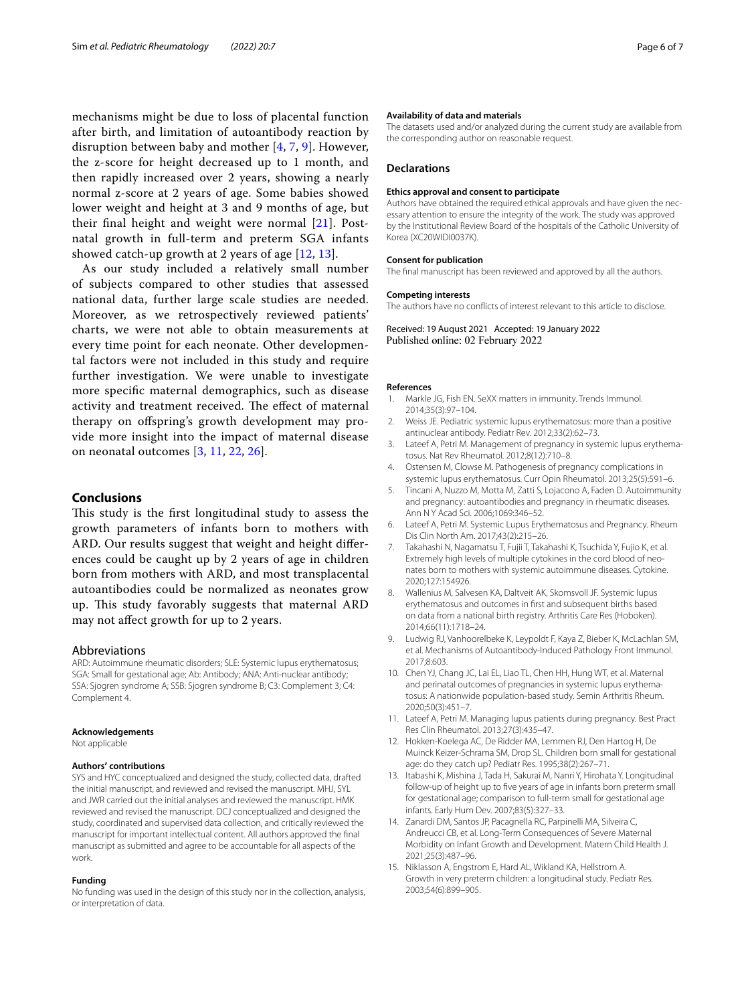mechanisms might be due to loss of placental function after birth, and limitation of autoantibody reaction by disruption between baby and mother [\[4](#page-5-8), [7](#page-5-3), [9\]](#page-5-6). However, the z-score for height decreased up to 1 month, and then rapidly increased over 2 years, showing a nearly normal z-score at 2 years of age. Some babies showed lower weight and height at 3 and 9 months of age, but their fnal height and weight were normal [[21](#page-6-5)]. Postnatal growth in full-term and preterm SGA infants showed catch-up growth at 2 years of age [[12](#page-5-11), [13](#page-5-12)].

As our study included a relatively small number of subjects compared to other studies that assessed national data, further large scale studies are needed. Moreover, as we retrospectively reviewed patients' charts, we were not able to obtain measurements at every time point for each neonate. Other developmental factors were not included in this study and require further investigation. We were unable to investigate more specifc maternal demographics, such as disease activity and treatment received. The effect of maternal therapy on ofspring's growth development may provide more insight into the impact of maternal disease on neonatal outcomes [\[3,](#page-5-2) [11](#page-5-10), [22](#page-6-6), [26](#page-6-10)].

# **Conclusions**

This study is the first longitudinal study to assess the growth parameters of infants born to mothers with ARD. Our results suggest that weight and height diferences could be caught up by 2 years of age in children born from mothers with ARD, and most transplacental autoantibodies could be normalized as neonates grow up. This study favorably suggests that maternal ARD may not afect growth for up to 2 years.

#### Abbreviations

ARD: Autoimmune rheumatic disorders; SLE: Systemic lupus erythematosus; SGA: Small for gestational age; Ab: Antibody; ANA: Anti-nuclear antibody; SSA: Sjogren syndrome A; SSB: Sjogren syndrome B; C3: Complement 3; C4: Complement 4.

#### **Acknowledgements**

Not applicable

#### **Authors' contributions**

SYS and HYC conceptualized and designed the study, collected data, drafted the initial manuscript, and reviewed and revised the manuscript. MHJ, SYL and JWR carried out the initial analyses and reviewed the manuscript. HMK reviewed and revised the manuscript. DCJ conceptualized and designed the study, coordinated and supervised data collection, and critically reviewed the manuscript for important intellectual content. All authors approved the fnal manuscript as submitted and agree to be accountable for all aspects of the work.

#### **Funding**

No funding was used in the design of this study nor in the collection, analysis, or interpretation of data.

#### **Availability of data and materials**

The datasets used and/or analyzed during the current study are available from the corresponding author on reasonable request.

#### **Declarations**

#### **Ethics approval and consent to participate**

Authors have obtained the required ethical approvals and have given the necessary attention to ensure the integrity of the work. The study was approved by the Institutional Review Board of the hospitals of the Catholic University of Korea (XC20WIDI0037K).

#### **Consent for publication**

The fnal manuscript has been reviewed and approved by all the authors.

#### **Competing interests**

The authors have no conficts of interest relevant to this article to disclose.

Received: 19 August 2021 Accepted: 19 January 2022 Published online: 02 February 2022

#### **References**

- <span id="page-5-0"></span>1. Markle JG, Fish EN. SeXX matters in immunity. Trends Immunol. 2014;35(3):97–104.
- <span id="page-5-1"></span>2. Weiss JE. Pediatric systemic lupus erythematosus: more than a positive antinuclear antibody. Pediatr Rev. 2012;33(2):62–73.
- <span id="page-5-2"></span>3. Lateef A, Petri M. Management of pregnancy in systemic lupus erythematosus. Nat Rev Rheumatol. 2012;8(12):710–8.
- <span id="page-5-8"></span>4. Ostensen M, Clowse M. Pathogenesis of pregnancy complications in systemic lupus erythematosus. Curr Opin Rheumatol. 2013;25(5):591–6.
- <span id="page-5-4"></span>5. Tincani A, Nuzzo M, Motta M, Zatti S, Lojacono A, Faden D. Autoimmunity and pregnancy: autoantibodies and pregnancy in rheumatic diseases. Ann N Y Acad Sci. 2006;1069:346–52.
- <span id="page-5-7"></span>6. Lateef A, Petri M. Systemic Lupus Erythematosus and Pregnancy. Rheum Dis Clin North Am. 2017;43(2):215–26.
- <span id="page-5-3"></span>7. Takahashi N, Nagamatsu T, Fujii T, Takahashi K, Tsuchida Y, Fujio K, et al. Extremely high levels of multiple cytokines in the cord blood of neonates born to mothers with systemic autoimmune diseases. Cytokine. 2020;127:154926.
- <span id="page-5-5"></span>8. Wallenius M, Salvesen KA, Daltveit AK, Skomsvoll JF. Systemic lupus erythematosus and outcomes in frst and subsequent births based on data from a national birth registry. Arthritis Care Res (Hoboken). 2014;66(11):1718–24.
- <span id="page-5-6"></span>9. Ludwig RJ, Vanhoorelbeke K, Leypoldt F, Kaya Z, Bieber K, McLachlan SM, et al. Mechanisms of Autoantibody-Induced Pathology Front Immunol. 2017;8:603.
- <span id="page-5-9"></span>10. Chen YJ, Chang JC, Lai EL, Liao TL, Chen HH, Hung WT, et al. Maternal and perinatal outcomes of pregnancies in systemic lupus erythematosus: A nationwide population-based study. Semin Arthritis Rheum. 2020;50(3):451–7.
- <span id="page-5-10"></span>11. Lateef A, Petri M. Managing lupus patients during pregnancy. Best Pract Res Clin Rheumatol. 2013;27(3):435–47.
- <span id="page-5-11"></span>12. Hokken-Koelega AC, De Ridder MA, Lemmen RJ, Den Hartog H, De Muinck Keizer-Schrama SM, Drop SL. Children born small for gestational age: do they catch up? Pediatr Res. 1995;38(2):267–71.
- <span id="page-5-12"></span>13. Itabashi K, Mishina J, Tada H, Sakurai M, Nanri Y, Hirohata Y. Longitudinal follow-up of height up to fve years of age in infants born preterm small for gestational age; comparison to full-term small for gestational age infants. Early Hum Dev. 2007;83(5):327–33.
- <span id="page-5-13"></span>14. Zanardi DM, Santos JP, Pacagnella RC, Parpinelli MA, Silveira C, Andreucci CB, et al. Long-Term Consequences of Severe Maternal Morbidity on Infant Growth and Development. Matern Child Health J. 2021;25(3):487–96.
- <span id="page-5-14"></span>15. Niklasson A, Engstrom E, Hard AL, Wikland KA, Hellstrom A. Growth in very preterm children: a longitudinal study. Pediatr Res. 2003;54(6):899–905.